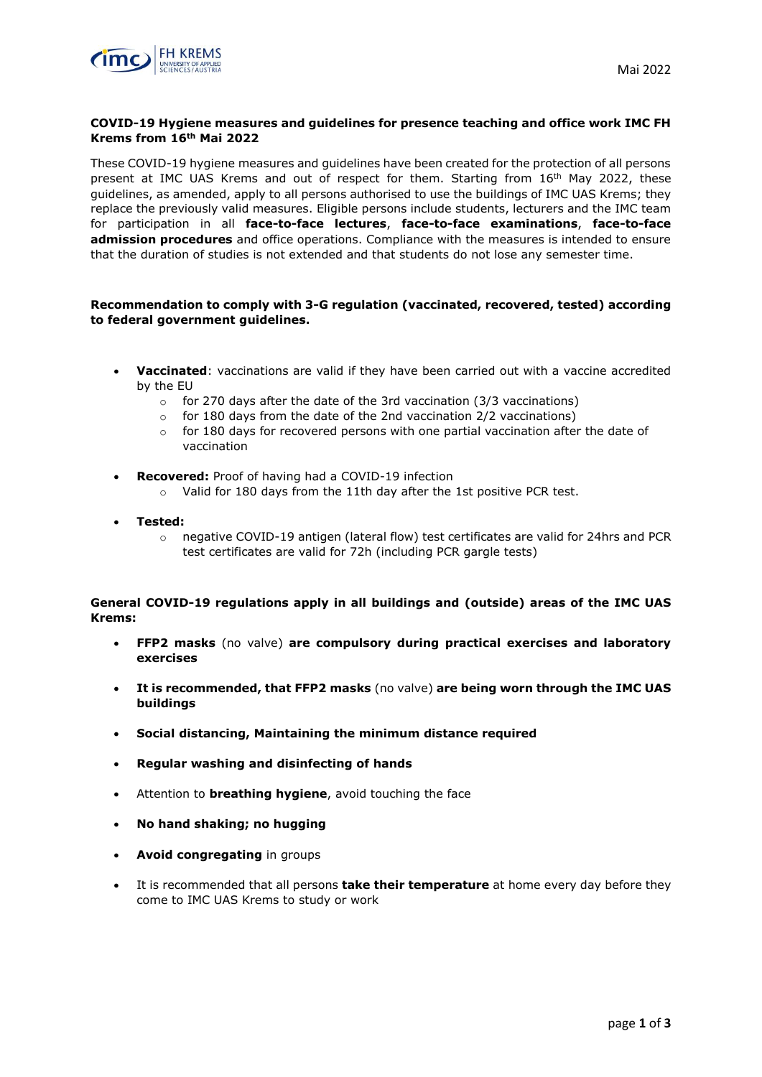# **COVID-19 Hygiene measures and guidelines for presence teaching and office work IMC FH Krems from 16th Mai 2022**

These COVID-19 hygiene measures and guidelines have been created for the protection of all persons present at IMC UAS Krems and out of respect for them. Starting from 16th May 2022, these guidelines, as amended, apply to all persons authorised to use the buildings of IMC UAS Krems; they replace the previously valid measures. Eligible persons include students, lecturers and the IMC team for participation in all **face-to-face lectures**, **face-to-face examinations**, **face-to-face admission procedures** and office operations. Compliance with the measures is intended to ensure that the duration of studies is not extended and that students do not lose any semester time.

## **Recommendation to comply with 3-G regulation (vaccinated, recovered, tested) according to federal government guidelines.**

- **Vaccinated**: vaccinations are valid if they have been carried out with a vaccine accredited by the EU
	- $\circ$  for 270 days after the date of the 3rd vaccination (3/3 vaccinations)
	- $\circ$  for 180 days from the date of the 2nd vaccination 2/2 vaccinations)
	- $\circ$  for 180 days for recovered persons with one partial vaccination after the date of vaccination
- **Recovered:** Proof of having had a COVID-19 infection
	- o Valid for 180 days from the 11th day after the 1st positive PCR test.
- **Tested:** 
	- o negative COVID-19 antigen (lateral flow) test certificates are valid for 24hrs and PCR test certificates are valid for 72h (including PCR gargle tests)

## **General COVID-19 regulations apply in all buildings and (outside) areas of the IMC UAS Krems:**

- **FFP2 masks** (no valve) **are compulsory during practical exercises and laboratory exercises**
- **It is recommended, that FFP2 masks** (no valve) **are being worn through the IMC UAS buildings**
- **Social distancing, Maintaining the minimum distance required**
- **Regular washing and disinfecting of hands**
- Attention to **breathing hygiene**, avoid touching the face
- **No hand shaking; no hugging**
- **Avoid congregating** in groups
- It is recommended that all persons **take their temperature** at home every day before they come to IMC UAS Krems to study or work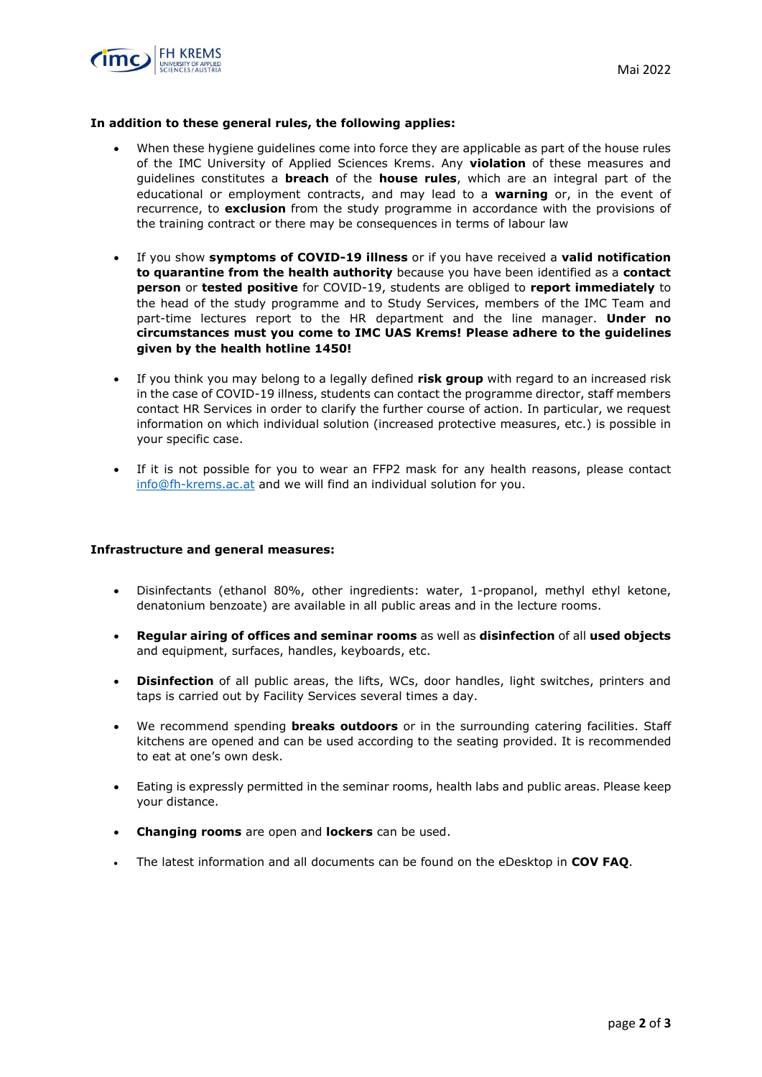



#### **In addition to these general rules, the following applies:**

- When these hygiene guidelines come into force they are applicable as part of the house rules of the IMC University of Applied Sciences Krems. Any **violation** of these measures and guidelines constitutes a **breach** of the **house rules**, which are an integral part of the educational or employment contracts, and may lead to a **warning** or, in the event of recurrence, to **exclusion** from the study programme in accordance with the provisions of the training contract or there may be consequences in terms of labour law
- If you show **symptoms of COVID-19 illness** or if you have received a **valid notification to quarantine from the health authority** because you have been identified as a **contact person** or **tested positive** for COVID-19, students are obliged to **report immediately** to the head of the study programme and to Study Services, members of the IMC Team and part-time lectures report to the HR department and the line manager. **Under no circumstances must you come to IMC UAS Krems! Please adhere to the guidelines given by the health hotline 1450!**
- If you think you may belong to a legally defined **risk group** with regard to an increased risk in the case of COVID-19 illness, students can contact the programme director, staff members contact HR Services in order to clarify the further course of action. In particular, we request information on which individual solution (increased protective measures, etc.) is possible in your specific case.
- If it is not possible for you to wear an FFP2 mask for any health reasons, please contact [info@fh-krems.ac.at](mailto:info@fh-krems.ac.at) and we will find an individual solution for you.

#### **Infrastructure and general measures:**

- Disinfectants (ethanol 80%, other ingredients: water, 1-propanol, methyl ethyl ketone, denatonium benzoate) are available in all public areas and in the lecture rooms.
- **Regular airing of offices and seminar rooms** as well as **disinfection** of all **used objects** and equipment, surfaces, handles, keyboards, etc.
- **Disinfection** of all public areas, the lifts, WCs, door handles, light switches, printers and taps is carried out by Facility Services several times a day.
- We recommend spending **breaks outdoors** or in the surrounding catering facilities. Staff kitchens are opened and can be used according to the seating provided. It is recommended to eat at one's own desk.
- Eating is expressly permitted in the seminar rooms, health labs and public areas. Please keep your distance.
- **Changing rooms** are open and **lockers** can be used.
- The latest information and all documents can be found on the eDesktop in **COV FAQ**.